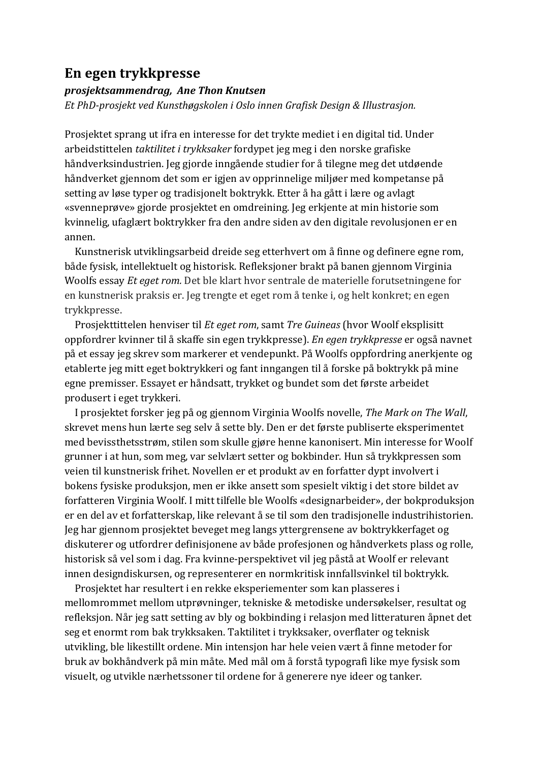## **En egen trykkpresse**

## *prosjektsammendrag, Ane Thon Knutsen*

*Et PhD-prosjekt ved Kunsthøgskolen i Oslo innen Grafisk Design & Illustrasion.* 

Prosjektet sprang ut ifra en interesse for det trykte mediet i en digital tid. Under arbeidstittelen *taktilitet i trykksaker* fordypet jeg meg i den norske grafiske håndverksindustrien. Jeg gjorde inngående studier for å tilegne meg det utdøende håndverket gjennom det som er igjen av opprinnelige miljøer med kompetanse på setting av løse typer og tradisjonelt boktrykk. Etter å ha gått i lære og avlagt «svenneprøve» gjorde prosjektet en omdreining. Jeg erkjente at min historie som kvinnelig, ufaglært boktrykker fra den andre siden av den digitale revolusjonen er en annen.

Kunstnerisk utviklingsarbeid dreide seg etterhvert om å finne og definere egne rom, både fysisk, intellektuelt og historisk. Refleksjoner brakt på banen gjennom Virginia Woolfs essay *Et eget rom.* Det ble klart hvor sentrale de materielle forutsetningene for en kunstnerisk praksis er. Jeg trengte et eget rom å tenke i, og helt konkret; en egen trykkpresse.

Prosjekttittelen henviser til *Et eget rom*, samt *Tre Guineas* (hvor Woolf eksplisitt oppfordrer kvinner til å skaffe sin egen trykkpresse). *En egen trykkpresse* er også navnet på et essay jeg skrev som markerer et vendepunkt. På Woolfs oppfordring anerkjente og etablerte jeg mitt eget boktrykkeri og fant inngangen til å forske på boktrykk på mine egne premisser. Essayet er håndsatt, trykket og bundet som det første arbeidet produsert i eget trykkeri.

I prosjektet forsker jeg på og gjennom Virginia Woolfs novelle, *The Mark on The Wall*, skrevet mens hun lærte seg selv å sette bly. Den er det første publiserte eksperimentet med bevissthetsstrøm, stilen som skulle gjøre henne kanonisert. Min interesse for Woolf grunner i at hun, som meg, var selvlært setter og bokbinder. Hun så trykkpressen som veien til kunstnerisk frihet. Novellen er et produkt av en forfatter dypt involvert i bokens fysiske produksjon, men er ikke ansett som spesielt viktig i det store bildet av forfatteren Virginia Woolf. I mitt tilfelle ble Woolfs «designarbeider», der bokproduksjon er en del av et forfatterskap, like relevant å se til som den tradisjonelle industrihistorien. Jeg har gjennom prosjektet beveget meg langs yttergrensene av boktrykkerfaget og diskuterer og utfordrer definisjonene av både profesjonen og håndverkets plass og rolle, historisk så vel som i dag. Fra kvinne-perspektivet vil jeg påstå at Woolf er relevant innen designdiskursen, og representerer en normkritisk innfallsvinkel til boktrykk.

Prosjektet har resultert i en rekke eksperiementer som kan plasseres i mellomrommet mellom utprøvninger, tekniske & metodiske undersøkelser, resultat og refleksjon. Når jeg satt setting av bly og bokbinding i relasjon med litteraturen åpnet det seg et enormt rom bak trykksaken. Taktilitet i trykksaker, overflater og teknisk utvikling, ble likestillt ordene. Min intensjon har hele veien vært å finne metoder for bruk av bokhåndverk på min måte. Med mål om å forstå typografi like mye fysisk som visuelt, og utvikle nærhetssoner til ordene for å generere nye ideer og tanker.